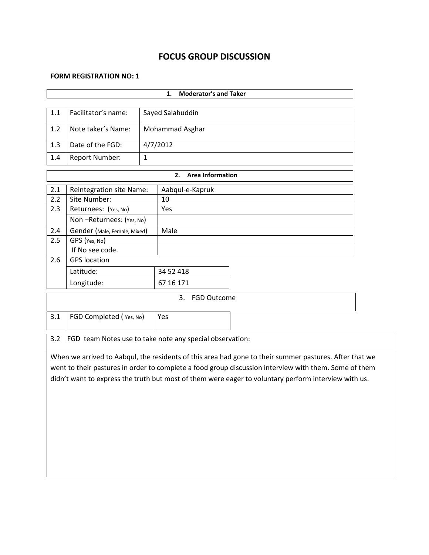# **FOCUS GROUP DISCUSSION**

#### **FORM REGISTRATION NO: 1**

|                                                                                                       |                                                                                                        | <b>Moderator's and Taker</b><br>1. |                          |  |  |  |  |  |
|-------------------------------------------------------------------------------------------------------|--------------------------------------------------------------------------------------------------------|------------------------------------|--------------------------|--|--|--|--|--|
|                                                                                                       |                                                                                                        |                                    |                          |  |  |  |  |  |
| 1.1                                                                                                   | Facilitator's name:                                                                                    |                                    | Sayed Salahuddin         |  |  |  |  |  |
| 1.2                                                                                                   | Note taker's Name:                                                                                     |                                    | Mohammad Asghar          |  |  |  |  |  |
| 1.3                                                                                                   | Date of the FGD:                                                                                       |                                    | 4/7/2012                 |  |  |  |  |  |
| 1.4                                                                                                   | <b>Report Number:</b>                                                                                  | $\mathbf{1}$                       |                          |  |  |  |  |  |
|                                                                                                       | <b>Area Information</b><br>2.                                                                          |                                    |                          |  |  |  |  |  |
| 2.1                                                                                                   | <b>Reintegration site Name:</b>                                                                        |                                    | Aabqul-e-Kapruk          |  |  |  |  |  |
| 2.2                                                                                                   | Site Number:                                                                                           |                                    | 10                       |  |  |  |  |  |
| 2.3                                                                                                   | Returnees: (Yes, No)                                                                                   |                                    | Yes                      |  |  |  |  |  |
|                                                                                                       | Non-Returnees: (Yes, No)                                                                               |                                    |                          |  |  |  |  |  |
| 2.4                                                                                                   | Gender (Male, Female, Mixed)                                                                           |                                    | Male                     |  |  |  |  |  |
| 2.5                                                                                                   | GPS (Yes, No)                                                                                          |                                    |                          |  |  |  |  |  |
|                                                                                                       | If No see code.                                                                                        |                                    |                          |  |  |  |  |  |
| 2.6                                                                                                   | <b>GPS</b> location                                                                                    |                                    |                          |  |  |  |  |  |
|                                                                                                       | Latitude:                                                                                              |                                    | 34 52 418                |  |  |  |  |  |
|                                                                                                       | Longitude:                                                                                             |                                    | 67 16 171                |  |  |  |  |  |
|                                                                                                       |                                                                                                        |                                    | 3.<br><b>FGD Outcome</b> |  |  |  |  |  |
| 3.1                                                                                                   | FGD Completed (Yes, No)                                                                                |                                    | Yes                      |  |  |  |  |  |
|                                                                                                       |                                                                                                        |                                    |                          |  |  |  |  |  |
| 3.2                                                                                                   | FGD team Notes use to take note any special observation:                                               |                                    |                          |  |  |  |  |  |
|                                                                                                       | When we arrived to Aabqul, the residents of this area had gone to their summer pastures. After that we |                                    |                          |  |  |  |  |  |
| went to their pastures in order to complete a food group discussion interview with them. Some of them |                                                                                                        |                                    |                          |  |  |  |  |  |
| didn't want to express the truth but most of them were eager to voluntary perform interview with us.  |                                                                                                        |                                    |                          |  |  |  |  |  |
|                                                                                                       |                                                                                                        |                                    |                          |  |  |  |  |  |
|                                                                                                       |                                                                                                        |                                    |                          |  |  |  |  |  |
|                                                                                                       |                                                                                                        |                                    |                          |  |  |  |  |  |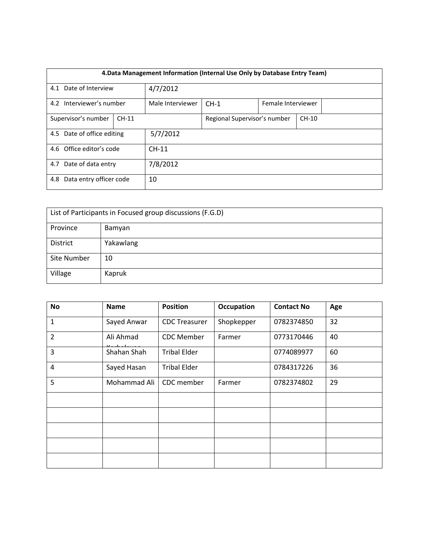| 4. Data Management Information (Internal Use Only by Database Entry Team) |  |                  |                              |  |         |  |  |
|---------------------------------------------------------------------------|--|------------------|------------------------------|--|---------|--|--|
| 4.1 Date of Interview                                                     |  | 4/7/2012         |                              |  |         |  |  |
| 4.2 Interviewer's number                                                  |  | Male Interviewer | $CH-1$<br>Female Interviewer |  |         |  |  |
| Supervisor's number<br>$CH-11$                                            |  |                  | Regional Supervisor's number |  | $CH-10$ |  |  |
| 4.5 Date of office editing                                                |  | 5/7/2012         |                              |  |         |  |  |
| 4.6 Office editor's code                                                  |  | $CH-11$          |                              |  |         |  |  |
| 4.7 Date of data entry                                                    |  | 7/8/2012         |                              |  |         |  |  |
| Data entry officer code<br>4.8                                            |  | 10               |                              |  |         |  |  |

| List of Participants in Focused group discussions (F.G.D) |           |  |  |  |
|-----------------------------------------------------------|-----------|--|--|--|
| Province                                                  | Bamyan    |  |  |  |
| District                                                  | Yakawlang |  |  |  |
| Site Number                                               | 10        |  |  |  |
| Village                                                   | Kapruk    |  |  |  |

| No             | <b>Name</b>  | <b>Position</b>      | <b>Occupation</b> | <b>Contact No</b> | Age |
|----------------|--------------|----------------------|-------------------|-------------------|-----|
| $\mathbf{1}$   | Sayed Anwar  | <b>CDC Treasurer</b> | Shopkepper        | 0782374850        | 32  |
| $\overline{2}$ | Ali Ahmad    | <b>CDC</b> Member    | Farmer            | 0773170446        | 40  |
| 3              | Shahan Shah  | <b>Tribal Elder</b>  |                   | 0774089977        | 60  |
| $\overline{4}$ | Sayed Hasan  | <b>Tribal Elder</b>  |                   | 0784317226        | 36  |
| 5              | Mohammad Ali | CDC member           | Farmer            | 0782374802        | 29  |
|                |              |                      |                   |                   |     |
|                |              |                      |                   |                   |     |
|                |              |                      |                   |                   |     |
|                |              |                      |                   |                   |     |
|                |              |                      |                   |                   |     |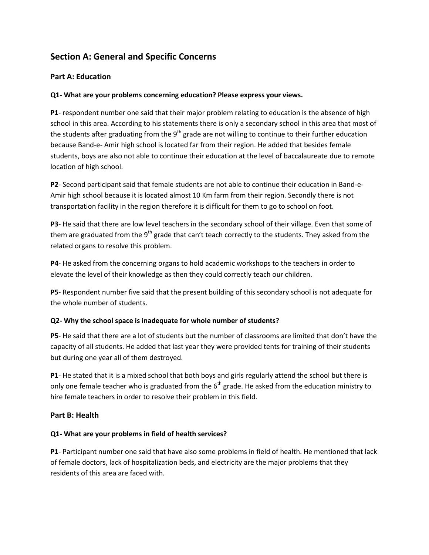# **Section A: General and Specific Concerns**

### **Part A: Education**

### **Q1- What are your problems concerning education? Please express your views.**

**P1**- respondent number one said that their major problem relating to education is the absence of high school in this area. According to his statements there is only a secondary school in this area that most of the students after graduating from the  $9<sup>th</sup>$  grade are not willing to continue to their further education because Band-e- Amir high school is located far from their region. He added that besides female students, boys are also not able to continue their education at the level of baccalaureate due to remote location of high school.

**P2**- Second participant said that female students are not able to continue their education in Band-e-Amir high school because it is located almost 10 Km farm from their region. Secondly there is not transportation facility in the region therefore it is difficult for them to go to school on foot.

**P3**- He said that there are low level teachers in the secondary school of their village. Even that some of them are graduated from the  $9<sup>th</sup>$  grade that can't teach correctly to the students. They asked from the related organs to resolve this problem.

**P4**- He asked from the concerning organs to hold academic workshops to the teachers in order to elevate the level of their knowledge as then they could correctly teach our children.

**P5**- Respondent number five said that the present building of this secondary school is not adequate for the whole number of students.

### **Q2- Why the school space is inadequate for whole number of students?**

**P5**- He said that there are a lot of students but the number of classrooms are limited that don't have the capacity of all students. He added that last year they were provided tents for training of their students but during one year all of them destroyed.

**P1**- He stated that it is a mixed school that both boys and girls regularly attend the school but there is only one female teacher who is graduated from the  $6<sup>th</sup>$  grade. He asked from the education ministry to hire female teachers in order to resolve their problem in this field.

### **Part B: Health**

### **Q1- What are your problems in field of health services?**

**P1**- Participant number one said that have also some problems in field of health. He mentioned that lack of female doctors, lack of hospitalization beds, and electricity are the major problems that they residents of this area are faced with.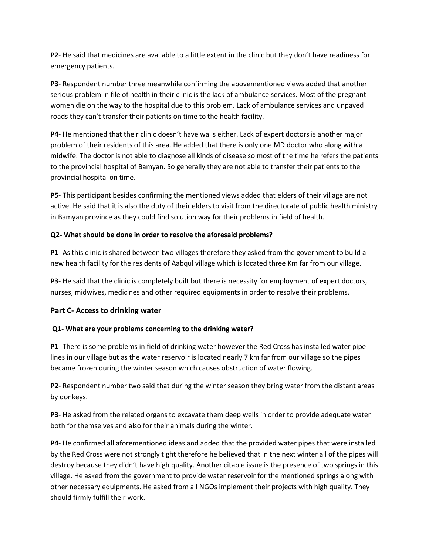**P2**- He said that medicines are available to a little extent in the clinic but they don't have readiness for emergency patients.

**P3**- Respondent number three meanwhile confirming the abovementioned views added that another serious problem in file of health in their clinic is the lack of ambulance services. Most of the pregnant women die on the way to the hospital due to this problem. Lack of ambulance services and unpaved roads they can't transfer their patients on time to the health facility.

**P4**- He mentioned that their clinic doesn't have walls either. Lack of expert doctors is another major problem of their residents of this area. He added that there is only one MD doctor who along with a midwife. The doctor is not able to diagnose all kinds of disease so most of the time he refers the patients to the provincial hospital of Bamyan. So generally they are not able to transfer their patients to the provincial hospital on time.

**P5**- This participant besides confirming the mentioned views added that elders of their village are not active. He said that it is also the duty of their elders to visit from the directorate of public health ministry in Bamyan province as they could find solution way for their problems in field of health.

### **Q2- What should be done in order to resolve the aforesaid problems?**

**P1**- As this clinic is shared between two villages therefore they asked from the government to build a new health facility for the residents of Aabqul village which is located three Km far from our village.

**P3**- He said that the clinic is completely built but there is necessity for employment of expert doctors, nurses, midwives, medicines and other required equipments in order to resolve their problems.

## **Part C- Access to drinking water**

### **Q1- What are your problems concerning to the drinking water?**

**P1**- There is some problems in field of drinking water however the Red Cross has installed water pipe lines in our village but as the water reservoir is located nearly 7 km far from our village so the pipes became frozen during the winter season which causes obstruction of water flowing.

**P2**- Respondent number two said that during the winter season they bring water from the distant areas by donkeys.

**P3**- He asked from the related organs to excavate them deep wells in order to provide adequate water both for themselves and also for their animals during the winter.

**P4**- He confirmed all aforementioned ideas and added that the provided water pipes that were installed by the Red Cross were not strongly tight therefore he believed that in the next winter all of the pipes will destroy because they didn't have high quality. Another citable issue is the presence of two springs in this village. He asked from the government to provide water reservoir for the mentioned springs along with other necessary equipments. He asked from all NGOs implement their projects with high quality. They should firmly fulfill their work.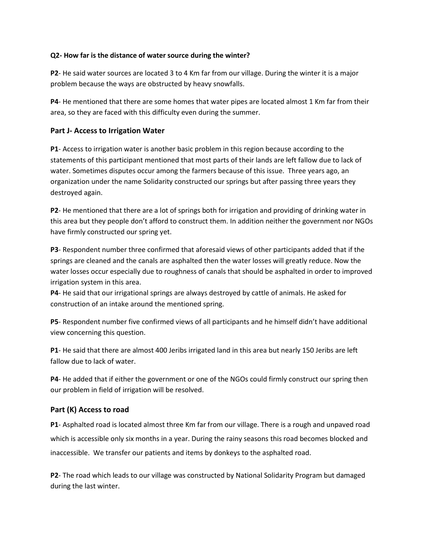### **Q2- How far is the distance of water source during the winter?**

**P2**- He said water sources are located 3 to 4 Km far from our village. During the winter it is a major problem because the ways are obstructed by heavy snowfalls.

**P4**- He mentioned that there are some homes that water pipes are located almost 1 Km far from their area, so they are faced with this difficulty even during the summer.

### **Part J- Access to Irrigation Water**

**P1**- Access to irrigation water is another basic problem in this region because according to the statements of this participant mentioned that most parts of their lands are left fallow due to lack of water. Sometimes disputes occur among the farmers because of this issue. Three years ago, an organization under the name Solidarity constructed our springs but after passing three years they destroyed again.

**P2**- He mentioned that there are a lot of springs both for irrigation and providing of drinking water in this area but they people don't afford to construct them. In addition neither the government nor NGOs have firmly constructed our spring yet.

**P3**- Respondent number three confirmed that aforesaid views of other participants added that if the springs are cleaned and the canals are asphalted then the water losses will greatly reduce. Now the water losses occur especially due to roughness of canals that should be asphalted in order to improved irrigation system in this area.

**P4**- He said that our irrigational springs are always destroyed by cattle of animals. He asked for construction of an intake around the mentioned spring.

**P5**- Respondent number five confirmed views of all participants and he himself didn't have additional view concerning this question.

**P1**- He said that there are almost 400 Jeribs irrigated land in this area but nearly 150 Jeribs are left fallow due to lack of water.

**P4**- He added that if either the government or one of the NGOs could firmly construct our spring then our problem in field of irrigation will be resolved.

### **Part (K) Access to road**

**P1**- Asphalted road is located almost three Km far from our village. There is a rough and unpaved road which is accessible only six months in a year. During the rainy seasons this road becomes blocked and inaccessible. We transfer our patients and items by donkeys to the asphalted road.

**P2**- The road which leads to our village was constructed by National Solidarity Program but damaged during the last winter.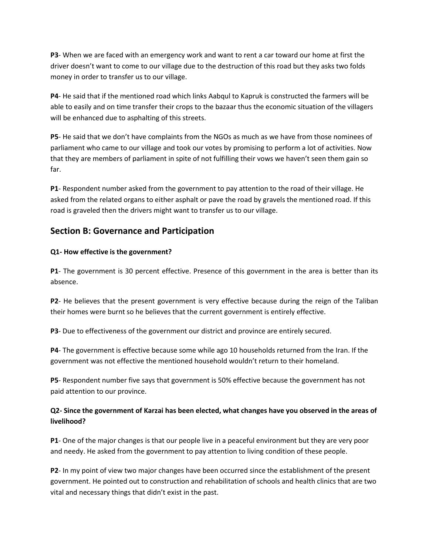**P3**- When we are faced with an emergency work and want to rent a car toward our home at first the driver doesn't want to come to our village due to the destruction of this road but they asks two folds money in order to transfer us to our village.

**P4**- He said that if the mentioned road which links Aabqul to Kapruk is constructed the farmers will be able to easily and on time transfer their crops to the bazaar thus the economic situation of the villagers will be enhanced due to asphalting of this streets.

**P5**- He said that we don't have complaints from the NGOs as much as we have from those nominees of parliament who came to our village and took our votes by promising to perform a lot of activities. Now that they are members of parliament in spite of not fulfilling their vows we haven't seen them gain so far.

**P1**- Respondent number asked from the government to pay attention to the road of their village. He asked from the related organs to either asphalt or pave the road by gravels the mentioned road. If this road is graveled then the drivers might want to transfer us to our village.

## **Section B: Governance and Participation**

### **Q1- How effective is the government?**

**P1**- The government is 30 percent effective. Presence of this government in the area is better than its absence.

**P2**- He believes that the present government is very effective because during the reign of the Taliban their homes were burnt so he believes that the current government is entirely effective.

**P3**- Due to effectiveness of the government our district and province are entirely secured.

**P4**- The government is effective because some while ago 10 households returned from the Iran. If the government was not effective the mentioned household wouldn't return to their homeland.

**P5**- Respondent number five says that government is 50% effective because the government has not paid attention to our province.

### **Q2- Since the government of Karzai has been elected, what changes have you observed in the areas of livelihood?**

**P1**- One of the major changes is that our people live in a peaceful environment but they are very poor and needy. He asked from the government to pay attention to living condition of these people.

**P2**- In my point of view two major changes have been occurred since the establishment of the present government. He pointed out to construction and rehabilitation of schools and health clinics that are two vital and necessary things that didn't exist in the past.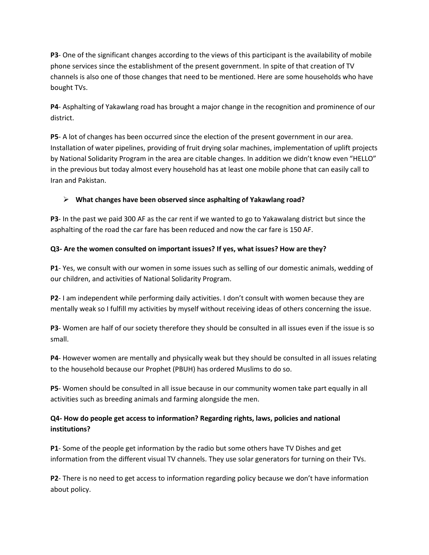**P3**- One of the significant changes according to the views of this participant is the availability of mobile phone services since the establishment of the present government. In spite of that creation of TV channels is also one of those changes that need to be mentioned. Here are some households who have bought TVs.

**P4**- Asphalting of Yakawlang road has brought a major change in the recognition and prominence of our district.

**P5**- A lot of changes has been occurred since the election of the present government in our area. Installation of water pipelines, providing of fruit drying solar machines, implementation of uplift projects by National Solidarity Program in the area are citable changes. In addition we didn't know even "HELLO" in the previous but today almost every household has at least one mobile phone that can easily call to Iran and Pakistan.

## **What changes have been observed since asphalting of Yakawlang road?**

**P3**- In the past we paid 300 AF as the car rent if we wanted to go to Yakawalang district but since the asphalting of the road the car fare has been reduced and now the car fare is 150 AF.

### **Q3- Are the women consulted on important issues? If yes, what issues? How are they?**

**P1**- Yes, we consult with our women in some issues such as selling of our domestic animals, wedding of our children, and activities of National Solidarity Program.

**P2**- I am independent while performing daily activities. I don't consult with women because they are mentally weak so I fulfill my activities by myself without receiving ideas of others concerning the issue.

**P3**- Women are half of our society therefore they should be consulted in all issues even if the issue is so small.

**P4**- However women are mentally and physically weak but they should be consulted in all issues relating to the household because our Prophet (PBUH) has ordered Muslims to do so.

**P5**- Women should be consulted in all issue because in our community women take part equally in all activities such as breeding animals and farming alongside the men.

## **Q4- How do people get access to information? Regarding rights, laws, policies and national institutions?**

**P1**- Some of the people get information by the radio but some others have TV Dishes and get information from the different visual TV channels. They use solar generators for turning on their TVs.

**P2**- There is no need to get access to information regarding policy because we don't have information about policy.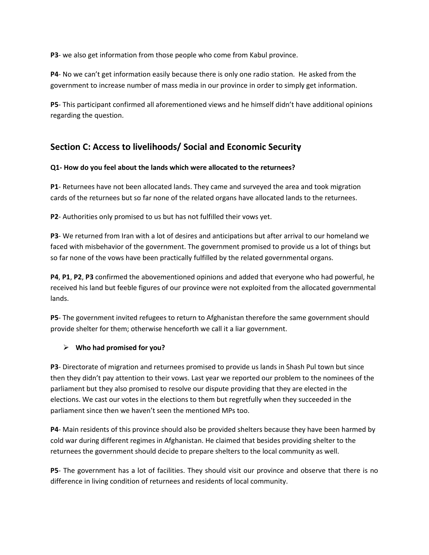**P3**- we also get information from those people who come from Kabul province.

**P4**- No we can't get information easily because there is only one radio station. He asked from the government to increase number of mass media in our province in order to simply get information.

**P5**- This participant confirmed all aforementioned views and he himself didn't have additional opinions regarding the question.

## **Section C: Access to livelihoods/ Social and Economic Security**

### **Q1- How do you feel about the lands which were allocated to the returnees?**

**P1**- Returnees have not been allocated lands. They came and surveyed the area and took migration cards of the returnees but so far none of the related organs have allocated lands to the returnees.

**P2**- Authorities only promised to us but has not fulfilled their vows yet.

**P3**- We returned from Iran with a lot of desires and anticipations but after arrival to our homeland we faced with misbehavior of the government. The government promised to provide us a lot of things but so far none of the vows have been practically fulfilled by the related governmental organs.

**P4**, **P1**, **P2**, **P3** confirmed the abovementioned opinions and added that everyone who had powerful, he received his land but feeble figures of our province were not exploited from the allocated governmental lands.

**P5**- The government invited refugees to return to Afghanistan therefore the same government should provide shelter for them; otherwise henceforth we call it a liar government.

### **Who had promised for you?**

**P3**- Directorate of migration and returnees promised to provide us lands in Shash Pul town but since then they didn't pay attention to their vows. Last year we reported our problem to the nominees of the parliament but they also promised to resolve our dispute providing that they are elected in the elections. We cast our votes in the elections to them but regretfully when they succeeded in the parliament since then we haven't seen the mentioned MPs too.

**P4**- Main residents of this province should also be provided shelters because they have been harmed by cold war during different regimes in Afghanistan. He claimed that besides providing shelter to the returnees the government should decide to prepare shelters to the local community as well.

**P5**- The government has a lot of facilities. They should visit our province and observe that there is no difference in living condition of returnees and residents of local community.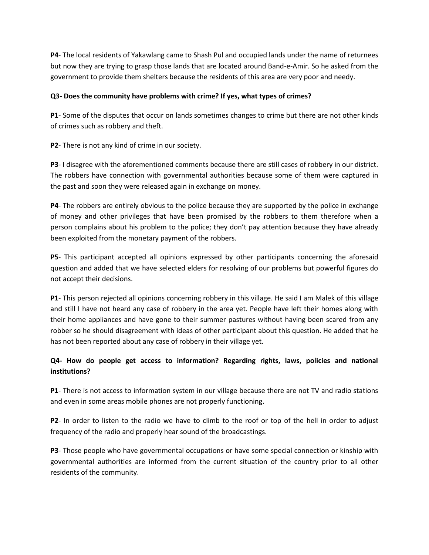**P4**- The local residents of Yakawlang came to Shash Pul and occupied lands under the name of returnees but now they are trying to grasp those lands that are located around Band-e-Amir. So he asked from the government to provide them shelters because the residents of this area are very poor and needy.

### **Q3- Does the community have problems with crime? If yes, what types of crimes?**

**P1**- Some of the disputes that occur on lands sometimes changes to crime but there are not other kinds of crimes such as robbery and theft.

**P2**- There is not any kind of crime in our society.

**P3**- I disagree with the aforementioned comments because there are still cases of robbery in our district. The robbers have connection with governmental authorities because some of them were captured in the past and soon they were released again in exchange on money.

**P4**- The robbers are entirely obvious to the police because they are supported by the police in exchange of money and other privileges that have been promised by the robbers to them therefore when a person complains about his problem to the police; they don't pay attention because they have already been exploited from the monetary payment of the robbers.

**P5**- This participant accepted all opinions expressed by other participants concerning the aforesaid question and added that we have selected elders for resolving of our problems but powerful figures do not accept their decisions.

**P1**- This person rejected all opinions concerning robbery in this village. He said I am Malek of this village and still I have not heard any case of robbery in the area yet. People have left their homes along with their home appliances and have gone to their summer pastures without having been scared from any robber so he should disagreement with ideas of other participant about this question. He added that he has not been reported about any case of robbery in their village yet.

## **Q4- How do people get access to information? Regarding rights, laws, policies and national institutions?**

**P1**- There is not access to information system in our village because there are not TV and radio stations and even in some areas mobile phones are not properly functioning.

**P2**- In order to listen to the radio we have to climb to the roof or top of the hell in order to adjust frequency of the radio and properly hear sound of the broadcastings.

**P3**- Those people who have governmental occupations or have some special connection or kinship with governmental authorities are informed from the current situation of the country prior to all other residents of the community.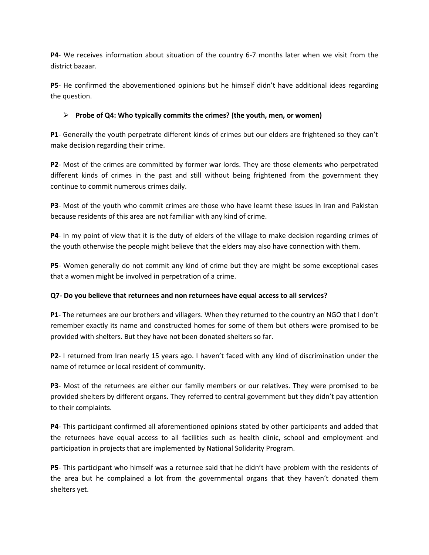**P4**- We receives information about situation of the country 6-7 months later when we visit from the district bazaar.

**P5**- He confirmed the abovementioned opinions but he himself didn't have additional ideas regarding the question.

### **Probe of Q4: Who typically commits the crimes? (the youth, men, or women)**

**P1**- Generally the youth perpetrate different kinds of crimes but our elders are frightened so they can't make decision regarding their crime.

**P2**- Most of the crimes are committed by former war lords. They are those elements who perpetrated different kinds of crimes in the past and still without being frightened from the government they continue to commit numerous crimes daily.

**P3**- Most of the youth who commit crimes are those who have learnt these issues in Iran and Pakistan because residents of this area are not familiar with any kind of crime.

**P4**- In my point of view that it is the duty of elders of the village to make decision regarding crimes of the youth otherwise the people might believe that the elders may also have connection with them.

**P5**- Women generally do not commit any kind of crime but they are might be some exceptional cases that a women might be involved in perpetration of a crime.

### **Q7- Do you believe that returnees and non returnees have equal access to all services?**

**P1**- The returnees are our brothers and villagers. When they returned to the country an NGO that I don't remember exactly its name and constructed homes for some of them but others were promised to be provided with shelters. But they have not been donated shelters so far.

**P2**- I returned from Iran nearly 15 years ago. I haven't faced with any kind of discrimination under the name of returnee or local resident of community.

**P3**- Most of the returnees are either our family members or our relatives. They were promised to be provided shelters by different organs. They referred to central government but they didn't pay attention to their complaints.

**P4**- This participant confirmed all aforementioned opinions stated by other participants and added that the returnees have equal access to all facilities such as health clinic, school and employment and participation in projects that are implemented by National Solidarity Program.

**P5**- This participant who himself was a returnee said that he didn't have problem with the residents of the area but he complained a lot from the governmental organs that they haven't donated them shelters yet.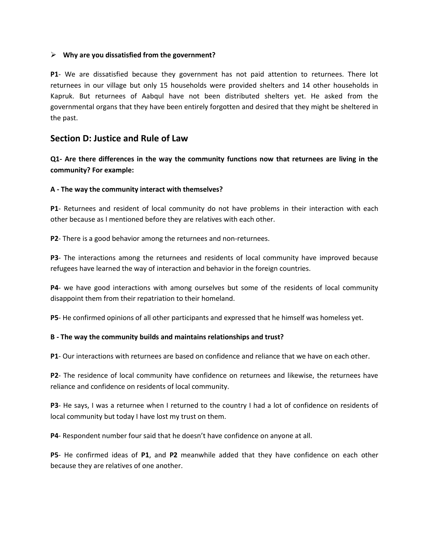#### **Why are you dissatisfied from the government?**

**P1**- We are dissatisfied because they government has not paid attention to returnees. There lot returnees in our village but only 15 households were provided shelters and 14 other households in Kapruk. But returnees of Aabqul have not been distributed shelters yet. He asked from the governmental organs that they have been entirely forgotten and desired that they might be sheltered in the past.

## **Section D: Justice and Rule of Law**

**Q1- Are there differences in the way the community functions now that returnees are living in the community? For example:**

#### **A - The way the community interact with themselves?**

**P1**- Returnees and resident of local community do not have problems in their interaction with each other because as I mentioned before they are relatives with each other.

**P2**- There is a good behavior among the returnees and non-returnees.

**P3**- The interactions among the returnees and residents of local community have improved because refugees have learned the way of interaction and behavior in the foreign countries.

**P4**- we have good interactions with among ourselves but some of the residents of local community disappoint them from their repatriation to their homeland.

**P5**- He confirmed opinions of all other participants and expressed that he himself was homeless yet.

### **B - The way the community builds and maintains relationships and trust?**

**P1**- Our interactions with returnees are based on confidence and reliance that we have on each other.

**P2**- The residence of local community have confidence on returnees and likewise, the returnees have reliance and confidence on residents of local community.

**P3**- He says, I was a returnee when I returned to the country I had a lot of confidence on residents of local community but today I have lost my trust on them.

**P4**- Respondent number four said that he doesn't have confidence on anyone at all.

**P5**- He confirmed ideas of **P1**, and **P2** meanwhile added that they have confidence on each other because they are relatives of one another.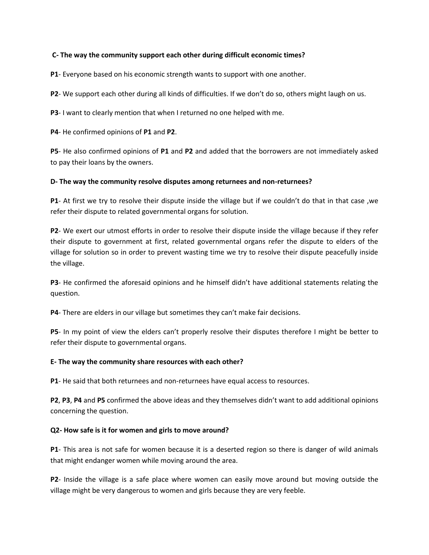### **C- The way the community support each other during difficult economic times?**

**P1**- Everyone based on his economic strength wants to support with one another.

**P2**- We support each other during all kinds of difficulties. If we don't do so, others might laugh on us.

**P3**- I want to clearly mention that when I returned no one helped with me.

**P4**- He confirmed opinions of **P1** and **P2**.

**P5**- He also confirmed opinions of **P1** and **P2** and added that the borrowers are not immediately asked to pay their loans by the owners.

### **D- The way the community resolve disputes among returnees and non-returnees?**

**P1**- At first we try to resolve their dispute inside the village but if we couldn't do that in that case ,we refer their dispute to related governmental organs for solution.

**P2**- We exert our utmost efforts in order to resolve their dispute inside the village because if they refer their dispute to government at first, related governmental organs refer the dispute to elders of the village for solution so in order to prevent wasting time we try to resolve their dispute peacefully inside the village.

**P3**- He confirmed the aforesaid opinions and he himself didn't have additional statements relating the question.

**P4**- There are elders in our village but sometimes they can't make fair decisions.

**P5**- In my point of view the elders can't properly resolve their disputes therefore I might be better to refer their dispute to governmental organs.

### **E- The way the community share resources with each other?**

**P1**- He said that both returnees and non-returnees have equal access to resources.

**P2**, **P3**, **P4** and **P5** confirmed the above ideas and they themselves didn't want to add additional opinions concerning the question.

### **Q2- How safe is it for women and girls to move around?**

**P1**- This area is not safe for women because it is a deserted region so there is danger of wild animals that might endanger women while moving around the area.

**P2**- Inside the village is a safe place where women can easily move around but moving outside the village might be very dangerous to women and girls because they are very feeble.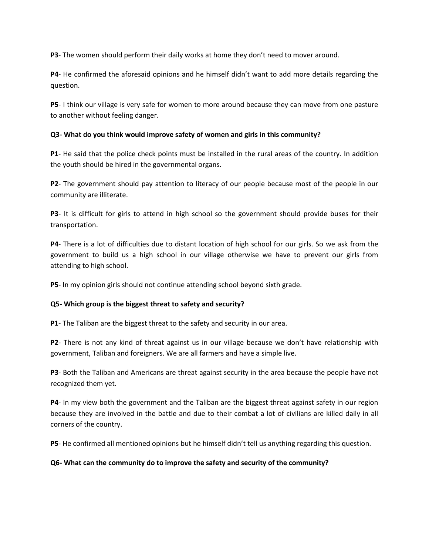**P3**- The women should perform their daily works at home they don't need to mover around.

**P4**- He confirmed the aforesaid opinions and he himself didn't want to add more details regarding the question.

**P5**- I think our village is very safe for women to more around because they can move from one pasture to another without feeling danger.

### **Q3- What do you think would improve safety of women and girls in this community?**

**P1**- He said that the police check points must be installed in the rural areas of the country. In addition the youth should be hired in the governmental organs.

**P2**- The government should pay attention to literacy of our people because most of the people in our community are illiterate.

**P3**- It is difficult for girls to attend in high school so the government should provide buses for their transportation.

**P4**- There is a lot of difficulties due to distant location of high school for our girls. So we ask from the government to build us a high school in our village otherwise we have to prevent our girls from attending to high school.

**P5**- In my opinion girls should not continue attending school beyond sixth grade.

### **Q5- Which group is the biggest threat to safety and security?**

**P1**- The Taliban are the biggest threat to the safety and security in our area.

**P2**- There is not any kind of threat against us in our village because we don't have relationship with government, Taliban and foreigners. We are all farmers and have a simple live.

**P3**- Both the Taliban and Americans are threat against security in the area because the people have not recognized them yet.

**P4**- In my view both the government and the Taliban are the biggest threat against safety in our region because they are involved in the battle and due to their combat a lot of civilians are killed daily in all corners of the country.

**P5**- He confirmed all mentioned opinions but he himself didn't tell us anything regarding this question.

### **Q6- What can the community do to improve the safety and security of the community?**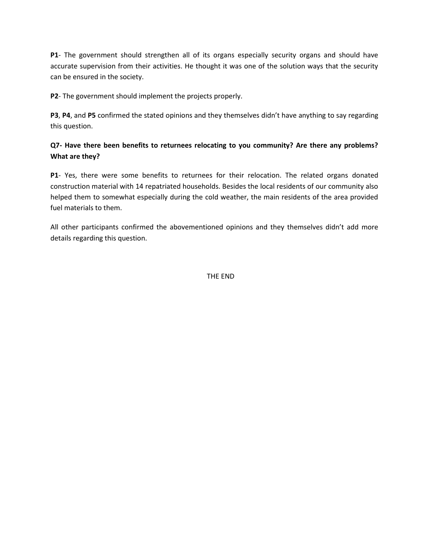**P1**- The government should strengthen all of its organs especially security organs and should have accurate supervision from their activities. He thought it was one of the solution ways that the security can be ensured in the society.

**P2**- The government should implement the projects properly.

**P3**, **P4**, and **P5** confirmed the stated opinions and they themselves didn't have anything to say regarding this question.

## **Q7- Have there been benefits to returnees relocating to you community? Are there any problems? What are they?**

**P1**- Yes, there were some benefits to returnees for their relocation. The related organs donated construction material with 14 repatriated households. Besides the local residents of our community also helped them to somewhat especially during the cold weather, the main residents of the area provided fuel materials to them.

All other participants confirmed the abovementioned opinions and they themselves didn't add more details regarding this question.

THE END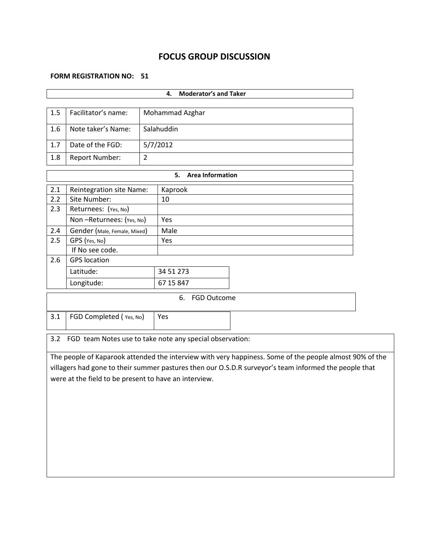## **FOCUS GROUP DISCUSSION**

### **FORM REGISTRATION NO: 51**

|                                       |                                                          |                | <b>Moderator's and Taker</b><br>4. |                                                                                                         |  |  |
|---------------------------------------|----------------------------------------------------------|----------------|------------------------------------|---------------------------------------------------------------------------------------------------------|--|--|
|                                       |                                                          |                |                                    |                                                                                                         |  |  |
| 1.5                                   | Facilitator's name:<br>Mohammad Azghar                   |                |                                    |                                                                                                         |  |  |
| 1.6                                   | Salahuddin<br>Note taker's Name:                         |                |                                    |                                                                                                         |  |  |
| 1.7                                   | Date of the FGD:                                         |                | 5/7/2012                           |                                                                                                         |  |  |
| 1.8                                   | Report Number:                                           | $\overline{2}$ |                                    |                                                                                                         |  |  |
|                                       |                                                          |                | 5.<br><b>Area Information</b>      |                                                                                                         |  |  |
| 2.1                                   | <b>Reintegration site Name:</b>                          |                | Kaprook                            |                                                                                                         |  |  |
| 2.2                                   | Site Number:                                             |                | 10                                 |                                                                                                         |  |  |
| 2.3                                   | Returnees: (Yes, No)                                     |                |                                    |                                                                                                         |  |  |
|                                       | Non-Returnees: (Yes, No)                                 |                | Yes                                |                                                                                                         |  |  |
| 2.4                                   | Gender (Male, Female, Mixed)                             |                | Male                               |                                                                                                         |  |  |
| 2.5                                   | GPS (Yes, No)                                            |                | Yes                                |                                                                                                         |  |  |
|                                       | If No see code.                                          |                |                                    |                                                                                                         |  |  |
| 2.6                                   | <b>GPS</b> location                                      |                |                                    |                                                                                                         |  |  |
|                                       | Latitude:                                                |                | 34 51 273                          |                                                                                                         |  |  |
|                                       | Longitude:                                               |                | 67 15 847                          |                                                                                                         |  |  |
| 6. FGD Outcome                        |                                                          |                |                                    |                                                                                                         |  |  |
| 3.1<br>FGD Completed (Yes, No)<br>Yes |                                                          |                |                                    |                                                                                                         |  |  |
| 3.2                                   | FGD team Notes use to take note any special observation: |                |                                    |                                                                                                         |  |  |
|                                       |                                                          |                |                                    | The people of Kaparook attended the interview with very happiness. Some of the people almost 90% of the |  |  |
|                                       |                                                          |                |                                    | villagers had gone to their summer pastures then our O.S.D.R surveyor's team informed the people that   |  |  |
|                                       |                                                          |                |                                    |                                                                                                         |  |  |

were at the field to be present to have an interview.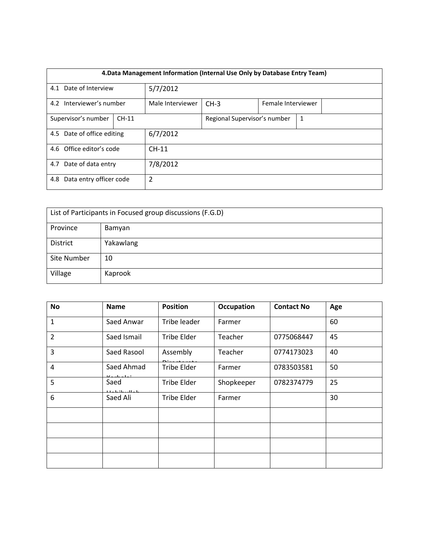| 4. Data Management Information (Internal Use Only by Database Entry Team) |  |                  |                                   |  |  |  |  |
|---------------------------------------------------------------------------|--|------------------|-----------------------------------|--|--|--|--|
| 4.1 Date of Interview                                                     |  | 5/7/2012         |                                   |  |  |  |  |
| 4.2 Interviewer's number                                                  |  | Male Interviewer | $CH-3$<br>Female Interviewer      |  |  |  |  |
| Supervisor's number<br>$CH-11$                                            |  |                  | Regional Supervisor's number<br>1 |  |  |  |  |
| 4.5 Date of office editing                                                |  | 6/7/2012         |                                   |  |  |  |  |
| 4.6 Office editor's code                                                  |  | $CH-11$          |                                   |  |  |  |  |
| 4.7 Date of data entry                                                    |  | 7/8/2012         |                                   |  |  |  |  |
| Data entry officer code<br>4.8                                            |  | 2                |                                   |  |  |  |  |

| List of Participants in Focused group discussions (F.G.D) |           |  |  |  |
|-----------------------------------------------------------|-----------|--|--|--|
| Province                                                  | Bamyan    |  |  |  |
| District                                                  | Yakawlang |  |  |  |
| Site Number                                               | 10        |  |  |  |
| Village                                                   | Kaprook   |  |  |  |

| No             | <b>Name</b>                 | <b>Position</b>    | <b>Occupation</b> | <b>Contact No</b> | Age |
|----------------|-----------------------------|--------------------|-------------------|-------------------|-----|
| $\mathbf{1}$   | Saed Anwar                  | Tribe leader       | Farmer            |                   | 60  |
| $\overline{2}$ | Saed Ismail                 | <b>Tribe Elder</b> | Teacher           | 0775068447        | 45  |
| 3              | Saed Rasool                 | Assembly           | Teacher           | 0774173023        | 40  |
| $\overline{4}$ | Saed Ahmad<br>レーストラー        | Tribe Elder        | Farmer            | 0783503581        | 50  |
| 5              | Saed<br>والمطالب والقوالمطا | <b>Tribe Elder</b> | Shopkeeper        | 0782374779        | 25  |
| 6              | Saed Ali                    | <b>Tribe Elder</b> | Farmer            |                   | 30  |
|                |                             |                    |                   |                   |     |
|                |                             |                    |                   |                   |     |
|                |                             |                    |                   |                   |     |
|                |                             |                    |                   |                   |     |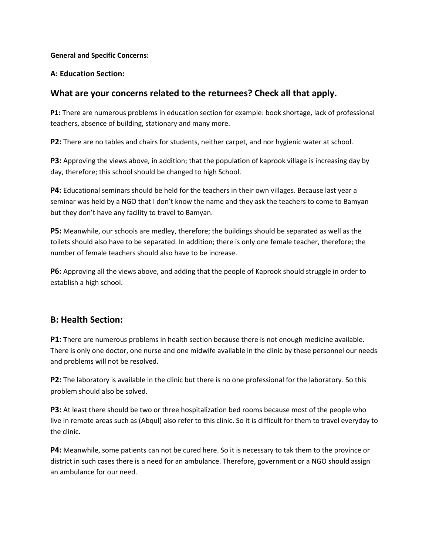### **General and Specific Concerns:**

### **A: Education Section:**

## **What are your concerns related to the returnees? Check all that apply.**

**P1:** There are numerous problems in education section for example: book shortage, lack of professional teachers, absence of building, stationary and many more.

**P2:** There are no tables and chairs for students, neither carpet, and nor hygienic water at school.

**P3:** Approving the views above, in addition; that the population of kaprook village is increasing day by day, therefore; this school should be changed to high School.

**P4:** Educational seminars should be held for the teachers in their own villages. Because last year a seminar was held by a NGO that I don't know the name and they ask the teachers to come to Bamyan but they don't have any facility to travel to Bamyan.

**P5:** Meanwhile, our schools are medley, therefore; the buildings should be separated as well as the toilets should also have to be separated. In addition; there is only one female teacher, therefore; the number of female teachers should also have to be increase.

**P6:** Approving all the views above, and adding that the people of Kaprook should struggle in order to establish a high school.

## **B: Health Section:**

**P1:** There are numerous problems in health section because there is not enough medicine available. There is only one doctor, one nurse and one midwife available in the clinic by these personnel our needs and problems will not be resolved.

**P2:** The laboratory is available in the clinic but there is no one professional for the laboratory. So this problem should also be solved.

**P3:** At least there should be two or three hospitalization bed rooms because most of the people who live in remote areas such as (Abqul) also refer to this clinic. So it is difficult for them to travel everyday to the clinic.

**P4:** Meanwhile, some patients can not be cured here. So it is necessary to tak them to the province or district in such cases there is a need for an ambulance. Therefore, government or a NGO should assign an ambulance for our need.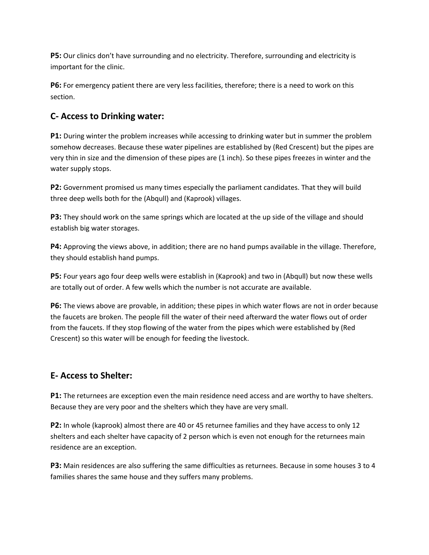**P5:** Our clinics don't have surrounding and no electricity. Therefore, surrounding and electricity is important for the clinic.

**P6:** For emergency patient there are very less facilities, therefore; there is a need to work on this section.

# **C- Access to Drinking water:**

**P1:** During winter the problem increases while accessing to drinking water but in summer the problem somehow decreases. Because these water pipelines are established by (Red Crescent) but the pipes are very thin in size and the dimension of these pipes are (1 inch). So these pipes freezes in winter and the water supply stops.

**P2:** Government promised us many times especially the parliament candidates. That they will build three deep wells both for the (Abqull) and (Kaprook) villages.

**P3:** They should work on the same springs which are located at the up side of the village and should establish big water storages.

**P4:** Approving the views above, in addition; there are no hand pumps available in the village. Therefore, they should establish hand pumps.

**P5:** Four years ago four deep wells were establish in (Kaprook) and two in (Abqull) but now these wells are totally out of order. A few wells which the number is not accurate are available.

**P6:** The views above are provable, in addition; these pipes in which water flows are not in order because the faucets are broken. The people fill the water of their need afterward the water flows out of order from the faucets. If they stop flowing of the water from the pipes which were established by (Red Crescent) so this water will be enough for feeding the livestock.

# **E- Access to Shelter:**

**P1:** The returnees are exception even the main residence need access and are worthy to have shelters. Because they are very poor and the shelters which they have are very small.

**P2:** In whole (kaprook) almost there are 40 or 45 returnee families and they have access to only 12 shelters and each shelter have capacity of 2 person which is even not enough for the returnees main residence are an exception.

**P3:** Main residences are also suffering the same difficulties as returnees. Because in some houses 3 to 4 families shares the same house and they suffers many problems.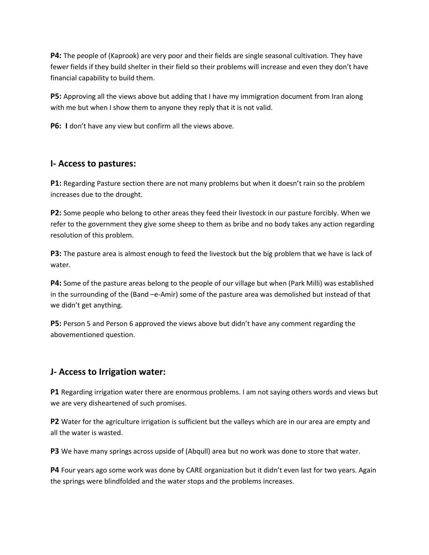**P4:** The people of (Kaprook) are very poor and their fields are single seasonal cultivation. They have fewer fields if they build shelter in their field so their problems will increase and even they don't have financial capability to build them.

**P5:** Approving all the views above but adding that I have my immigration document from Iran along with me but when I show them to anyone they reply that it is not valid.

**P6: I** don't have any view but confirm all the views above.

## **I- Access to pastures:**

**P1:** Regarding Pasture section there are not many problems but when it doesn't rain so the problem increases due to the drought.

**P2:** Some people who belong to other areas they feed their livestock in our pasture forcibly. When we refer to the government they give some sheep to them as bribe and no body takes any action regarding resolution of this problem.

**P3:** The pasture area is almost enough to feed the livestock but the big problem that we have is lack of water.

**P4:** Some of the pasture areas belong to the people of our village but when (Park Milli) was established in the surrounding of the (Band –e-Amir) some of the pasture area was demolished but instead of that we didn't get anything.

**P5:** Person 5 and Person 6 approved the views above but didn't have any comment regarding the abovementioned question.

## **J- Access to Irrigation water:**

**P1** Regarding irrigation water there are enormous problems. I am not saying others words and views but we are very disheartened of such promises.

**P2** Water for the agriculture irrigation is sufficient but the valleys which are in our area are empty and all the water is wasted.

**P3** We have many springs across upside of (Abqull) area but no work was done to store that water.

**P4** Four years ago some work was done by CARE organization but it didn't even last for two years. Again the springs were blindfolded and the water stops and the problems increases.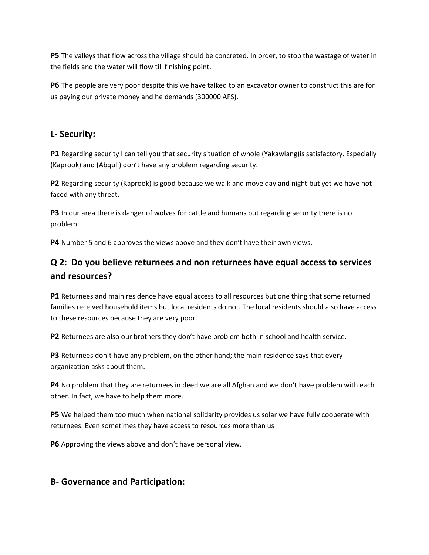**P5** The valleys that flow across the village should be concreted. In order, to stop the wastage of water in the fields and the water will flow till finishing point.

**P6** The people are very poor despite this we have talked to an excavator owner to construct this are for us paying our private money and he demands (300000 AFS).

## **L- Security:**

**P1** Regarding security I can tell you that security situation of whole (Yakawlang)is satisfactory. Especially (Kaprook) and (Abqull) don't have any problem regarding security.

**P2** Regarding security (Kaprook) is good because we walk and move day and night but yet we have not faced with any threat.

**P3** In our area there is danger of wolves for cattle and humans but regarding security there is no problem.

**P4** Number 5 and 6 approves the views above and they don't have their own views.

# **Q 2: Do you believe returnees and non returnees have equal access to services and resources?**

**P1** Returnees and main residence have equal access to all resources but one thing that some returned families received household items but local residents do not. The local residents should also have access to these resources because they are very poor.

**P2** Returnees are also our brothers they don't have problem both in school and health service.

**P3** Returnees don't have any problem, on the other hand; the main residence says that every organization asks about them.

**P4** No problem that they are returnees in deed we are all Afghan and we don't have problem with each other. In fact, we have to help them more.

**P5** We helped them too much when national solidarity provides us solar we have fully cooperate with returnees. Even sometimes they have access to resources more than us

**P6** Approving the views above and don't have personal view.

## **B- Governance and Participation:**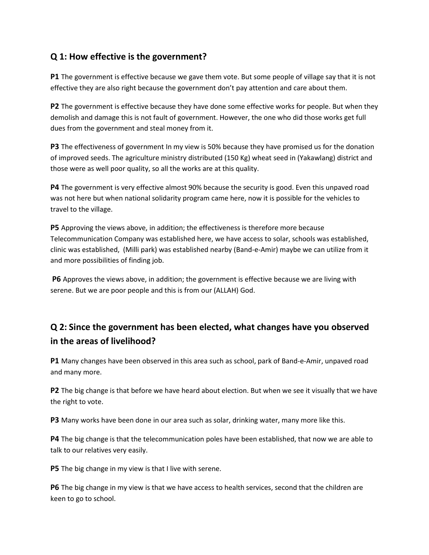# **Q 1: How effective is the government?**

**P1** The government is effective because we gave them vote. But some people of village say that it is not effective they are also right because the government don't pay attention and care about them.

**P2** The government is effective because they have done some effective works for people. But when they demolish and damage this is not fault of government. However, the one who did those works get full dues from the government and steal money from it.

**P3** The effectiveness of government In my view is 50% because they have promised us for the donation of improved seeds. The agriculture ministry distributed (150 Kg) wheat seed in (Yakawlang) district and those were as well poor quality, so all the works are at this quality.

**P4** The government is very effective almost 90% because the security is good. Even this unpaved road was not here but when national solidarity program came here, now it is possible for the vehicles to travel to the village.

**P5** Approving the views above, in addition; the effectiveness is therefore more because Telecommunication Company was established here, we have access to solar, schools was established, clinic was established, (Milli park) was established nearby (Band-e-Amir) maybe we can utilize from it and more possibilities of finding job.

**P6** Approves the views above, in addition; the government is effective because we are living with serene. But we are poor people and this is from our (ALLAH) God.

# **Q 2: Since the government has been elected, what changes have you observed in the areas of livelihood?**

**P1** Many changes have been observed in this area such as school, park of Band-e-Amir, unpaved road and many more.

**P2** The big change is that before we have heard about election. But when we see it visually that we have the right to vote.

**P3** Many works have been done in our area such as solar, drinking water, many more like this.

**P4** The big change is that the telecommunication poles have been established, that now we are able to talk to our relatives very easily.

**P5** The big change in my view is that I live with serene.

**P6** The big change in my view is that we have access to health services, second that the children are keen to go to school.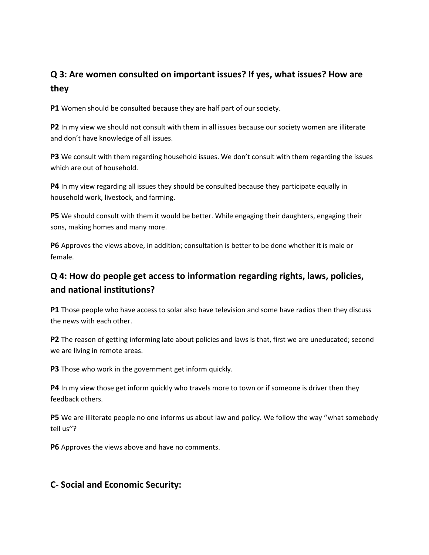# **Q 3: Are women consulted on important issues? If yes, what issues? How are they**

**P1** Women should be consulted because they are half part of our society.

**P2** In my view we should not consult with them in all issues because our society women are illiterate and don't have knowledge of all issues.

**P3** We consult with them regarding household issues. We don't consult with them regarding the issues which are out of household.

**P4** In my view regarding all issues they should be consulted because they participate equally in household work, livestock, and farming.

**P5** We should consult with them it would be better. While engaging their daughters, engaging their sons, making homes and many more.

**P6** Approves the views above, in addition; consultation is better to be done whether it is male or female.

# **Q 4: How do people get access to information regarding rights, laws, policies, and national institutions?**

**P1** Those people who have access to solar also have television and some have radios then they discuss the news with each other.

**P2** The reason of getting informing late about policies and laws is that, first we are uneducated; second we are living in remote areas.

**P3** Those who work in the government get inform quickly.

**P4** In my view those get inform quickly who travels more to town or if someone is driver then they feedback others.

**P5** We are illiterate people no one informs us about law and policy. We follow the way ''what somebody tell us''?

**P6** Approves the views above and have no comments.

## **C- Social and Economic Security:**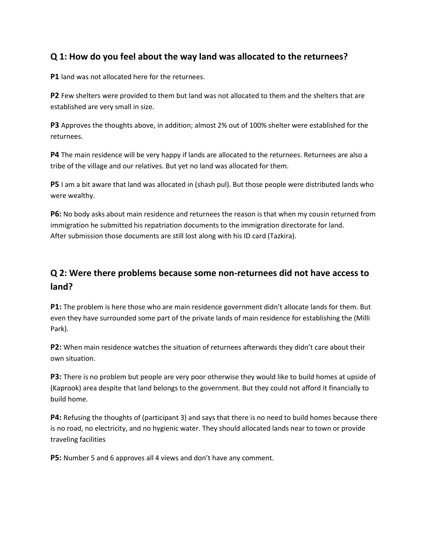# **Q 1: How do you feel about the way land was allocated to the returnees?**

**P1** land was not allocated here for the returnees.

**P2** Few shelters were provided to them but land was not allocated to them and the shelters that are established are very small in size.

**P3** Approves the thoughts above, in addition; almost 2% out of 100% shelter were established for the returnees.

**P4** The main residence will be very happy if lands are allocated to the returnees. Returnees are also a tribe of the village and our relatives. But yet no land was allocated for them.

**P5** I am a bit aware that land was allocated in (shash pul). But those people were distributed lands who were wealthy.

**P6:** No body asks about main residence and returnees the reason is that when my cousin returned from immigration he submitted his repatriation documents to the immigration directorate for land. After submission those documents are still lost along with his ID card (Tazkira).

# **Q 2: Were there problems because some non-returnees did not have access to land?**

**P1:** The problem is here those who are main residence government didn't allocate lands for them. But even they have surrounded some part of the private lands of main residence for establishing the (Milli Park).

**P2:** When main residence watches the situation of returnees afterwards they didn't care about their own situation.

**P3:** There is no problem but people are very poor otherwise they would like to build homes at upside of (Kaprook) area despite that land belongs to the government. But they could not afford it financially to build home.

**P4:** Refusing the thoughts of (participant 3) and says that there is no need to build homes because there is no road, no electricity, and no hygienic water. They should allocated lands near to town or provide traveling facilities

**P5:** Number 5 and 6 approves all 4 views and don't have any comment.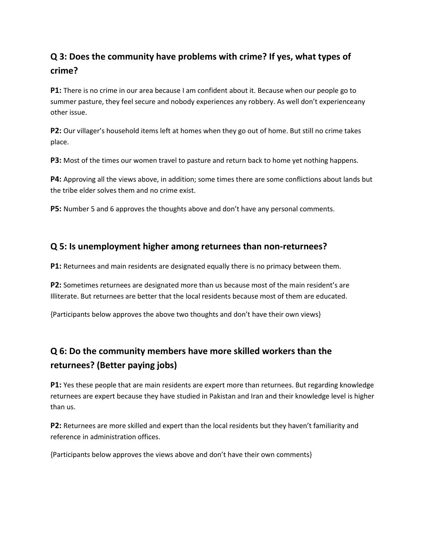# **Q 3: Does the community have problems with crime? If yes, what types of crime?**

**P1:** There is no crime in our area because I am confident about it. Because when our people go to summer pasture, they feel secure and nobody experiences any robbery. As well don't experienceany other issue.

**P2:** Our villager's household items left at homes when they go out of home. But still no crime takes place.

**P3:** Most of the times our women travel to pasture and return back to home yet nothing happens.

**P4:** Approving all the views above, in addition; some times there are some conflictions about lands but the tribe elder solves them and no crime exist.

**P5:** Number 5 and 6 approves the thoughts above and don't have any personal comments.

## **Q 5: Is unemployment higher among returnees than non-returnees?**

**P1:** Returnees and main residents are designated equally there is no primacy between them.

**P2:** Sometimes returnees are designated more than us because most of the main resident's are Illiterate. But returnees are better that the local residents because most of them are educated.

{Participants below approves the above two thoughts and don't have their own views}

# **Q 6: Do the community members have more skilled workers than the returnees? (Better paying jobs)**

**P1:** Yes these people that are main residents are expert more than returnees. But regarding knowledge returnees are expert because they have studied in Pakistan and Iran and their knowledge level is higher than us.

**P2:** Returnees are more skilled and expert than the local residents but they haven't familiarity and reference in administration offices.

{Participants below approves the views above and don't have their own comments}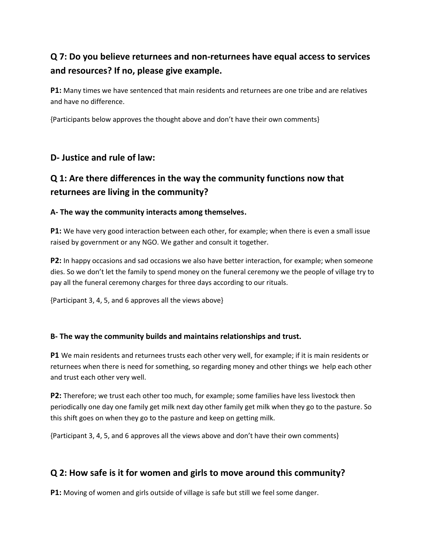# **Q 7: Do you believe returnees and non-returnees have equal access to services and resources? If no, please give example.**

**P1:** Many times we have sentenced that main residents and returnees are one tribe and are relatives and have no difference.

{Participants below approves the thought above and don't have their own comments}

# **D- Justice and rule of law:**

# **Q 1: Are there differences in the way the community functions now that returnees are living in the community?**

## **A- The way the community interacts among themselves.**

**P1:** We have very good interaction between each other, for example; when there is even a small issue raised by government or any NGO. We gather and consult it together.

**P2:** In happy occasions and sad occasions we also have better interaction, for example; when someone dies. So we don't let the family to spend money on the funeral ceremony we the people of village try to pay all the funeral ceremony charges for three days according to our rituals.

{Participant 3, 4, 5, and 6 approves all the views above}

## **B- The way the community builds and maintains relationships and trust.**

**P1** We main residents and returnees trusts each other very well, for example; if it is main residents or returnees when there is need for something, so regarding money and other things we help each other and trust each other very well.

**P2:** Therefore; we trust each other too much, for example; some families have less livestock then periodically one day one family get milk next day other family get milk when they go to the pasture. So this shift goes on when they go to the pasture and keep on getting milk.

{Participant 3, 4, 5, and 6 approves all the views above and don't have their own comments}

# **Q 2: How safe is it for women and girls to move around this community?**

**P1:** Moving of women and girls outside of village is safe but still we feel some danger.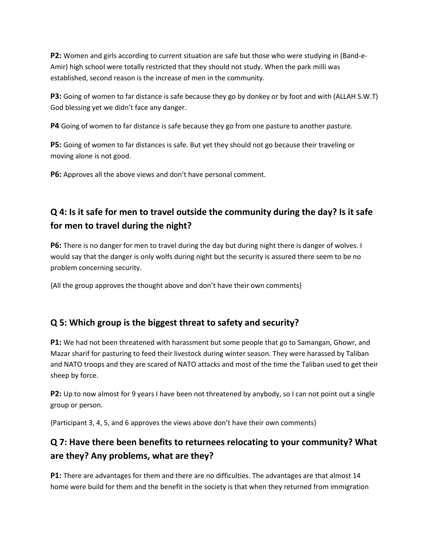**P2:** Women and girls according to current situation are safe but those who were studying in (Band-e-Amir) high school were totally restricted that they should not study. When the park milli was established, second reason is the increase of men in the community.

**P3:** Going of women to far distance is safe because they go by donkey or by foot and with (ALLAH S.W.T) God blessing yet we didn't face any danger.

**P4** Going of women to far distance is safe because they go from one pasture to another pasture.

**P5:** Going of women to far distances is safe. But yet they should not go because their traveling or moving alone is not good.

**P6:** Approves all the above views and don't have personal comment.

# **Q 4: Is it safe for men to travel outside the community during the day? Is it safe for men to travel during the night?**

**P6:** There is no danger for men to travel during the day but during night there is danger of wolves. I would say that the danger is only wolfs during night but the security is assured there seem to be no problem concerning security.

{All the group approves the thought above and don't have their own comments}

# **Q 5: Which group is the biggest threat to safety and security?**

**P1:** We had not been threatened with harassment but some people that go to Samangan, Ghowr, and Mazar sharif for pasturing to feed their livestock during winter season. They were harassed by Taliban and NATO troops and they are scared of NATO attacks and most of the time the Taliban used to get their sheep by force.

**P2:** Up to now almost for 9 years I have been not threatened by anybody, so I can not point out a single group or person.

{Participant 3, 4, 5, and 6 approves the views above don't have their own comments}

# **Q 7: Have there been benefits to returnees relocating to your community? What are they? Any problems, what are they?**

**P1:** There are advantages for them and there are no difficulties. The advantages are that almost 14 home were build for them and the benefit in the society is that when they returned from immigration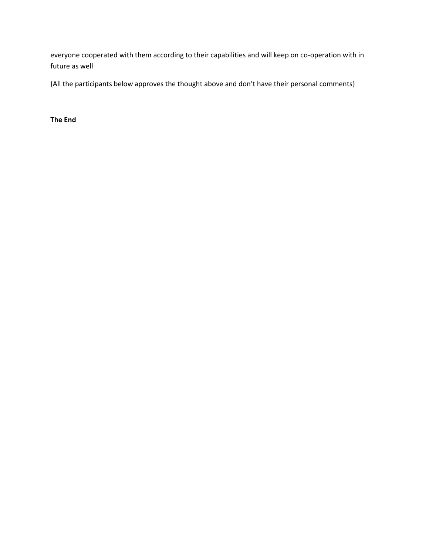everyone cooperated with them according to their capabilities and will keep on co-operation with in future as well

{All the participants below approves the thought above and don't have their personal comments}

**The End**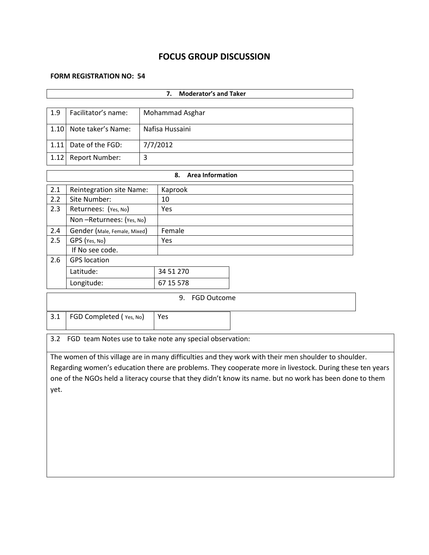# **FOCUS GROUP DISCUSSION**

### **FORM REGISTRATION NO: 54**

| <b>Moderator's and Taker</b><br>7.                              |                                                                                                                                                                                                                   |                 |                               |  |  |  |  |  |
|-----------------------------------------------------------------|-------------------------------------------------------------------------------------------------------------------------------------------------------------------------------------------------------------------|-----------------|-------------------------------|--|--|--|--|--|
|                                                                 |                                                                                                                                                                                                                   |                 |                               |  |  |  |  |  |
| 1.9                                                             | Facilitator's name:                                                                                                                                                                                               | Mohammad Asghar |                               |  |  |  |  |  |
| 1.10                                                            | Note taker's Name:                                                                                                                                                                                                |                 | Nafisa Hussaini               |  |  |  |  |  |
| 1.11                                                            | Date of the FGD:                                                                                                                                                                                                  |                 | 7/7/2012                      |  |  |  |  |  |
| 1.12                                                            | Report Number:                                                                                                                                                                                                    | $\overline{3}$  |                               |  |  |  |  |  |
|                                                                 |                                                                                                                                                                                                                   |                 | <b>Area Information</b><br>8. |  |  |  |  |  |
| 2.1                                                             | <b>Reintegration site Name:</b>                                                                                                                                                                                   |                 | Kaprook                       |  |  |  |  |  |
| 2.2                                                             | Site Number:                                                                                                                                                                                                      |                 | 10                            |  |  |  |  |  |
| 2.3                                                             | Returnees: (Yes, No)                                                                                                                                                                                              |                 | Yes                           |  |  |  |  |  |
|                                                                 | Non-Returnees: (Yes, No)                                                                                                                                                                                          |                 |                               |  |  |  |  |  |
| 2.4                                                             | Gender (Male, Female, Mixed)                                                                                                                                                                                      |                 | Female                        |  |  |  |  |  |
| 2.5                                                             | GPS (Yes, No)                                                                                                                                                                                                     |                 | Yes                           |  |  |  |  |  |
|                                                                 | If No see code.                                                                                                                                                                                                   |                 |                               |  |  |  |  |  |
| 2.6                                                             | <b>GPS</b> location                                                                                                                                                                                               |                 |                               |  |  |  |  |  |
|                                                                 | Latitude:                                                                                                                                                                                                         |                 | 34 51 270                     |  |  |  |  |  |
|                                                                 | Longitude:                                                                                                                                                                                                        |                 | 67 15 578                     |  |  |  |  |  |
|                                                                 |                                                                                                                                                                                                                   |                 | 9.<br><b>FGD Outcome</b>      |  |  |  |  |  |
|                                                                 |                                                                                                                                                                                                                   |                 |                               |  |  |  |  |  |
| 3.1                                                             | FGD Completed (Yes, No)                                                                                                                                                                                           |                 | Yes                           |  |  |  |  |  |
| 3.2<br>FGD team Notes use to take note any special observation: |                                                                                                                                                                                                                   |                 |                               |  |  |  |  |  |
|                                                                 |                                                                                                                                                                                                                   |                 |                               |  |  |  |  |  |
|                                                                 | The women of this village are in many difficulties and they work with their men shoulder to shoulder.<br>Regarding women's education there are problems. They cooperate more in livestock. During these ten years |                 |                               |  |  |  |  |  |
|                                                                 | one of the NGOs held a literacy course that they didn't know its name. but no work has been done to them                                                                                                          |                 |                               |  |  |  |  |  |
| yet.                                                            |                                                                                                                                                                                                                   |                 |                               |  |  |  |  |  |
|                                                                 |                                                                                                                                                                                                                   |                 |                               |  |  |  |  |  |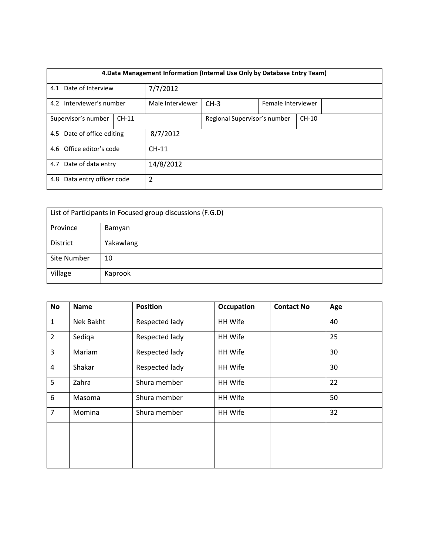| 4. Data Management Information (Internal Use Only by Database Entry Team) |  |                  |                                         |  |  |  |  |
|---------------------------------------------------------------------------|--|------------------|-----------------------------------------|--|--|--|--|
| 4.1 Date of Interview                                                     |  | 7/7/2012         |                                         |  |  |  |  |
| 4.2 Interviewer's number                                                  |  | Male Interviewer | $CH-3$<br>Female Interviewer            |  |  |  |  |
| Supervisor's number<br>$CH-11$                                            |  |                  | Regional Supervisor's number<br>$CH-10$ |  |  |  |  |
| 4.5 Date of office editing                                                |  | 8/7/2012         |                                         |  |  |  |  |
| 4.6 Office editor's code                                                  |  | $CH-11$          |                                         |  |  |  |  |
| 4.7 Date of data entry                                                    |  | 14/8/2012        |                                         |  |  |  |  |
| Data entry officer code<br>4.8                                            |  | 2                |                                         |  |  |  |  |

| List of Participants in Focused group discussions (F.G.D) |           |  |  |  |
|-----------------------------------------------------------|-----------|--|--|--|
| Province                                                  | Bamyan    |  |  |  |
| District                                                  | Yakawlang |  |  |  |
| Site Number                                               | 10        |  |  |  |
| Village                                                   | Kaprook   |  |  |  |

| <b>No</b>      | <b>Name</b> | <b>Position</b> | <b>Occupation</b> | <b>Contact No</b> | Age |
|----------------|-------------|-----------------|-------------------|-------------------|-----|
| $\mathbf{1}$   | Nek Bakht   | Respected lady  | HH Wife           |                   | 40  |
| $\overline{2}$ | Sediga      | Respected lady  | HH Wife           |                   | 25  |
| 3              | Mariam      | Respected lady  | HH Wife           |                   | 30  |
| 4              | Shakar      | Respected lady  | HH Wife           |                   | 30  |
| 5              | Zahra       | Shura member    | HH Wife           |                   | 22  |
| 6              | Masoma      | Shura member    | HH Wife           |                   | 50  |
| $\overline{7}$ | Momina      | Shura member    | HH Wife           |                   | 32  |
|                |             |                 |                   |                   |     |
|                |             |                 |                   |                   |     |
|                |             |                 |                   |                   |     |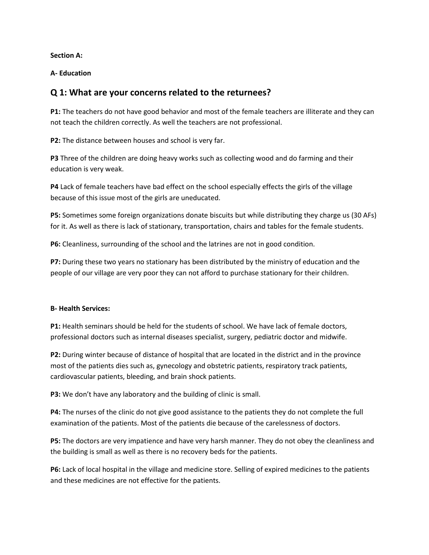**Section A:**

**A- Education**

## **Q 1: What are your concerns related to the returnees?**

**P1:** The teachers do not have good behavior and most of the female teachers are illiterate and they can not teach the children correctly. As well the teachers are not professional.

**P2:** The distance between houses and school is very far.

**P3** Three of the children are doing heavy works such as collecting wood and do farming and their education is very weak.

**P4** Lack of female teachers have bad effect on the school especially effects the girls of the village because of this issue most of the girls are uneducated.

**P5:** Sometimes some foreign organizations donate biscuits but while distributing they charge us (30 AFs) for it. As well as there is lack of stationary, transportation, chairs and tables for the female students.

**P6:** Cleanliness, surrounding of the school and the latrines are not in good condition.

**P7:** During these two years no stationary has been distributed by the ministry of education and the people of our village are very poor they can not afford to purchase stationary for their children.

### **B- Health Services:**

**P1:** Health seminars should be held for the students of school. We have lack of female doctors, professional doctors such as internal diseases specialist, surgery, pediatric doctor and midwife.

**P2:** During winter because of distance of hospital that are located in the district and in the province most of the patients dies such as, gynecology and obstetric patients, respiratory track patients, cardiovascular patients, bleeding, and brain shock patients.

**P3:** We don't have any laboratory and the building of clinic is small.

**P4:** The nurses of the clinic do not give good assistance to the patients they do not complete the full examination of the patients. Most of the patients die because of the carelessness of doctors.

**P5:** The doctors are very impatience and have very harsh manner. They do not obey the cleanliness and the building is small as well as there is no recovery beds for the patients.

**P6:** Lack of local hospital in the village and medicine store. Selling of expired medicines to the patients and these medicines are not effective for the patients.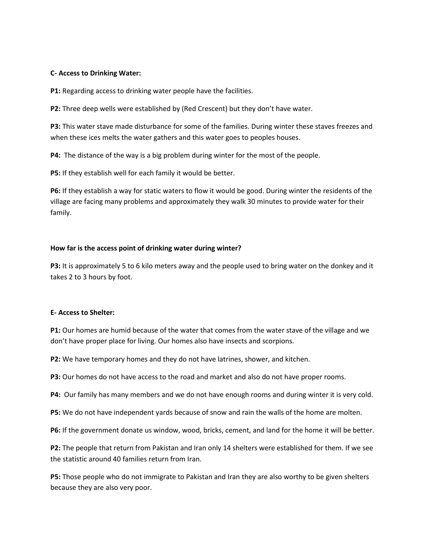#### **C- Access to Drinking Water:**

**P1:** Regarding access to drinking water people have the facilities.

**P2:** Three deep wells were established by (Red Crescent) but they don't have water.

**P3:** This water stave made disturbance for some of the families. During winter these staves freezes and when these ices melts the water gathers and this water goes to peoples houses.

**P4:** The distance of the way is a big problem during winter for the most of the people.

**P5:** If they establish well for each family it would be better.

**P6:** If they establish a way for static waters to flow it would be good. During winter the residents of the village are facing many problems and approximately they walk 30 minutes to provide water for their family.

#### **How far is the access point of drinking water during winter?**

**P3:** It is approximately 5 to 6 kilo meters away and the people used to bring water on the donkey and it takes 2 to 3 hours by foot.

#### **E- Access to Shelter:**

**P1:** Our homes are humid because of the water that comes from the water stave of the village and we don't have proper place for living. Our homes also have insects and scorpions.

**P2:** We have temporary homes and they do not have latrines, shower, and kitchen.

**P3:** Our homes do not have access to the road and market and also do not have proper rooms.

**P4:** Our family has many members and we do not have enough rooms and during winter it is very cold.

**P5:** We do not have independent yards because of snow and rain the walls of the home are molten.

**P6:** If the government donate us window, wood, bricks, cement, and land for the home it will be better.

**P2:** The people that return from Pakistan and Iran only 14 shelters were established for them. If we see the statistic around 40 families return from Iran.

**P5:** Those people who do not immigrate to Pakistan and Iran they are also worthy to be given shelters because they are also very poor.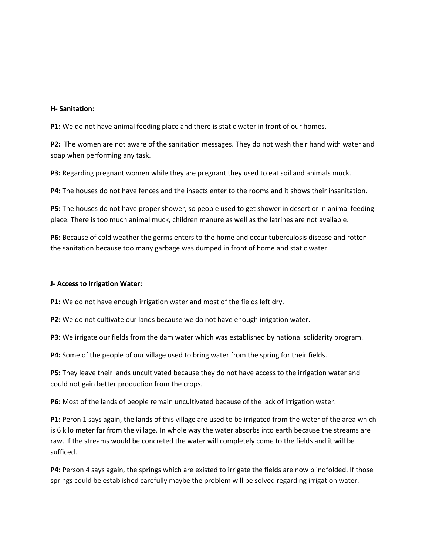#### **H- Sanitation:**

**P1:** We do not have animal feeding place and there is static water in front of our homes.

**P2:** The women are not aware of the sanitation messages. They do not wash their hand with water and soap when performing any task.

**P3:** Regarding pregnant women while they are pregnant they used to eat soil and animals muck.

**P4:** The houses do not have fences and the insects enter to the rooms and it shows their insanitation.

**P5:** The houses do not have proper shower, so people used to get shower in desert or in animal feeding place. There is too much animal muck, children manure as well as the latrines are not available.

**P6:** Because of cold weather the germs enters to the home and occur tuberculosis disease and rotten the sanitation because too many garbage was dumped in front of home and static water.

#### **J- Access to Irrigation Water:**

**P1:** We do not have enough irrigation water and most of the fields left dry.

**P2:** We do not cultivate our lands because we do not have enough irrigation water.

**P3:** We irrigate our fields from the dam water which was established by national solidarity program.

**P4:** Some of the people of our village used to bring water from the spring for their fields.

**P5:** They leave their lands uncultivated because they do not have access to the irrigation water and could not gain better production from the crops.

**P6:** Most of the lands of people remain uncultivated because of the lack of irrigation water.

**P1:** Peron 1 says again, the lands of this village are used to be irrigated from the water of the area which is 6 kilo meter far from the village. In whole way the water absorbs into earth because the streams are raw. If the streams would be concreted the water will completely come to the fields and it will be sufficed.

**P4:** Person 4 says again, the springs which are existed to irrigate the fields are now blindfolded. If those springs could be established carefully maybe the problem will be solved regarding irrigation water.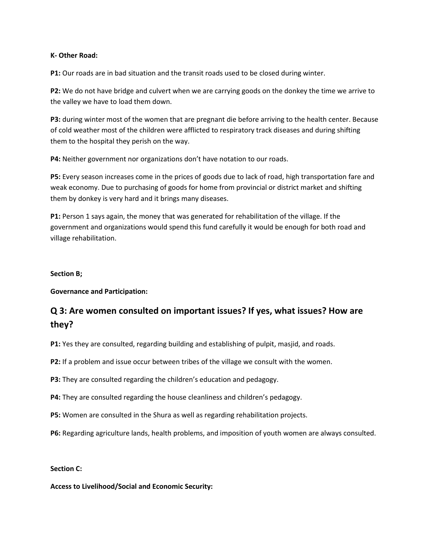#### **K- Other Road:**

**P1:** Our roads are in bad situation and the transit roads used to be closed during winter.

**P2:** We do not have bridge and culvert when we are carrying goods on the donkey the time we arrive to the valley we have to load them down.

**P3:** during winter most of the women that are pregnant die before arriving to the health center. Because of cold weather most of the children were afflicted to respiratory track diseases and during shifting them to the hospital they perish on the way.

**P4:** Neither government nor organizations don't have notation to our roads.

**P5:** Every season increases come in the prices of goods due to lack of road, high transportation fare and weak economy. Due to purchasing of goods for home from provincial or district market and shifting them by donkey is very hard and it brings many diseases.

**P1:** Person 1 says again, the money that was generated for rehabilitation of the village. If the government and organizations would spend this fund carefully it would be enough for both road and village rehabilitation.

### **Section B;**

**Governance and Participation:**

# **Q 3: Are women consulted on important issues? If yes, what issues? How are they?**

**P1:** Yes they are consulted, regarding building and establishing of pulpit, masjid, and roads.

**P2:** If a problem and issue occur between tribes of the village we consult with the women.

**P3:** They are consulted regarding the children's education and pedagogy.

**P4:** They are consulted regarding the house cleanliness and children's pedagogy.

**P5:** Women are consulted in the Shura as well as regarding rehabilitation projects.

**P6:** Regarding agriculture lands, health problems, and imposition of youth women are always consulted.

### **Section C:**

**Access to Livelihood/Social and Economic Security:**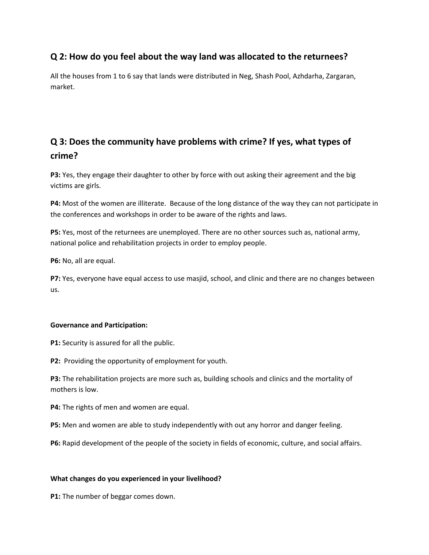## **Q 2: How do you feel about the way land was allocated to the returnees?**

All the houses from 1 to 6 say that lands were distributed in Neg, Shash Pool, Azhdarha, Zargaran, market.

# **Q 3: Does the community have problems with crime? If yes, what types of crime?**

**P3:** Yes, they engage their daughter to other by force with out asking their agreement and the big victims are girls.

**P4:** Most of the women are illiterate. Because of the long distance of the way they can not participate in the conferences and workshops in order to be aware of the rights and laws.

**P5:** Yes, most of the returnees are unemployed. There are no other sources such as, national army, national police and rehabilitation projects in order to employ people.

**P6:** No, all are equal.

**P7:** Yes, everyone have equal access to use masjid, school, and clinic and there are no changes between us.

### **Governance and Participation:**

**P1:** Security is assured for all the public.

**P2:** Providing the opportunity of employment for youth.

**P3:** The rehabilitation projects are more such as, building schools and clinics and the mortality of mothers is low.

**P4:** The rights of men and women are equal.

**P5:** Men and women are able to study independently with out any horror and danger feeling.

**P6:** Rapid development of the people of the society in fields of economic, culture, and social affairs.

### **What changes do you experienced in your livelihood?**

**P1:** The number of beggar comes down.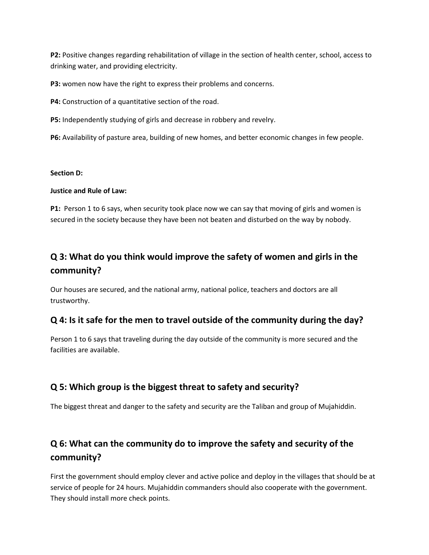**P2:** Positive changes regarding rehabilitation of village in the section of health center, school, access to drinking water, and providing electricity.

**P3:** women now have the right to express their problems and concerns.

**P4:** Construction of a quantitative section of the road.

**P5:** Independently studying of girls and decrease in robbery and revelry.

**P6:** Availability of pasture area, building of new homes, and better economic changes in few people.

### **Section D:**

### **Justice and Rule of Law:**

**P1:** Person 1 to 6 says, when security took place now we can say that moving of girls and women is secured in the society because they have been not beaten and disturbed on the way by nobody.

# **Q 3: What do you think would improve the safety of women and girls in the community?**

Our houses are secured, and the national army, national police, teachers and doctors are all trustworthy.

## **Q 4: Is it safe for the men to travel outside of the community during the day?**

Person 1 to 6 says that traveling during the day outside of the community is more secured and the facilities are available.

## **Q 5: Which group is the biggest threat to safety and security?**

The biggest threat and danger to the safety and security are the Taliban and group of Mujahiddin.

# **Q 6: What can the community do to improve the safety and security of the community?**

First the government should employ clever and active police and deploy in the villages that should be at service of people for 24 hours. Mujahiddin commanders should also cooperate with the government. They should install more check points.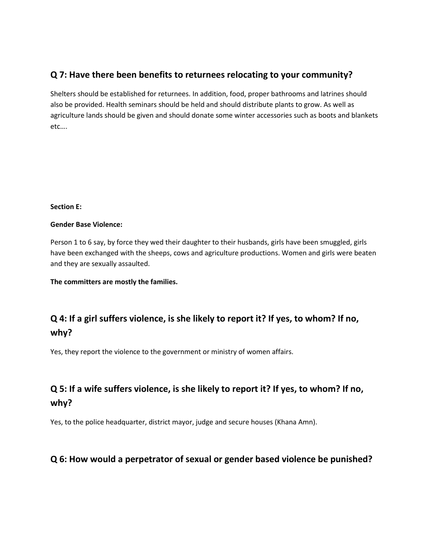## **Q 7: Have there been benefits to returnees relocating to your community?**

Shelters should be established for returnees. In addition, food, proper bathrooms and latrines should also be provided. Health seminars should be held and should distribute plants to grow. As well as agriculture lands should be given and should donate some winter accessories such as boots and blankets etc….

### **Section E:**

### **Gender Base Violence:**

Person 1 to 6 say, by force they wed their daughter to their husbands, girls have been smuggled, girls have been exchanged with the sheeps, cows and agriculture productions. Women and girls were beaten and they are sexually assaulted.

**The committers are mostly the families.**

# **Q 4: If a girl suffers violence, is she likely to report it? If yes, to whom? If no, why?**

Yes, they report the violence to the government or ministry of women affairs.

# **Q 5: If a wife suffers violence, is she likely to report it? If yes, to whom? If no, why?**

Yes, to the police headquarter, district mayor, judge and secure houses (Khana Amn).

# **Q 6: How would a perpetrator of sexual or gender based violence be punished?**